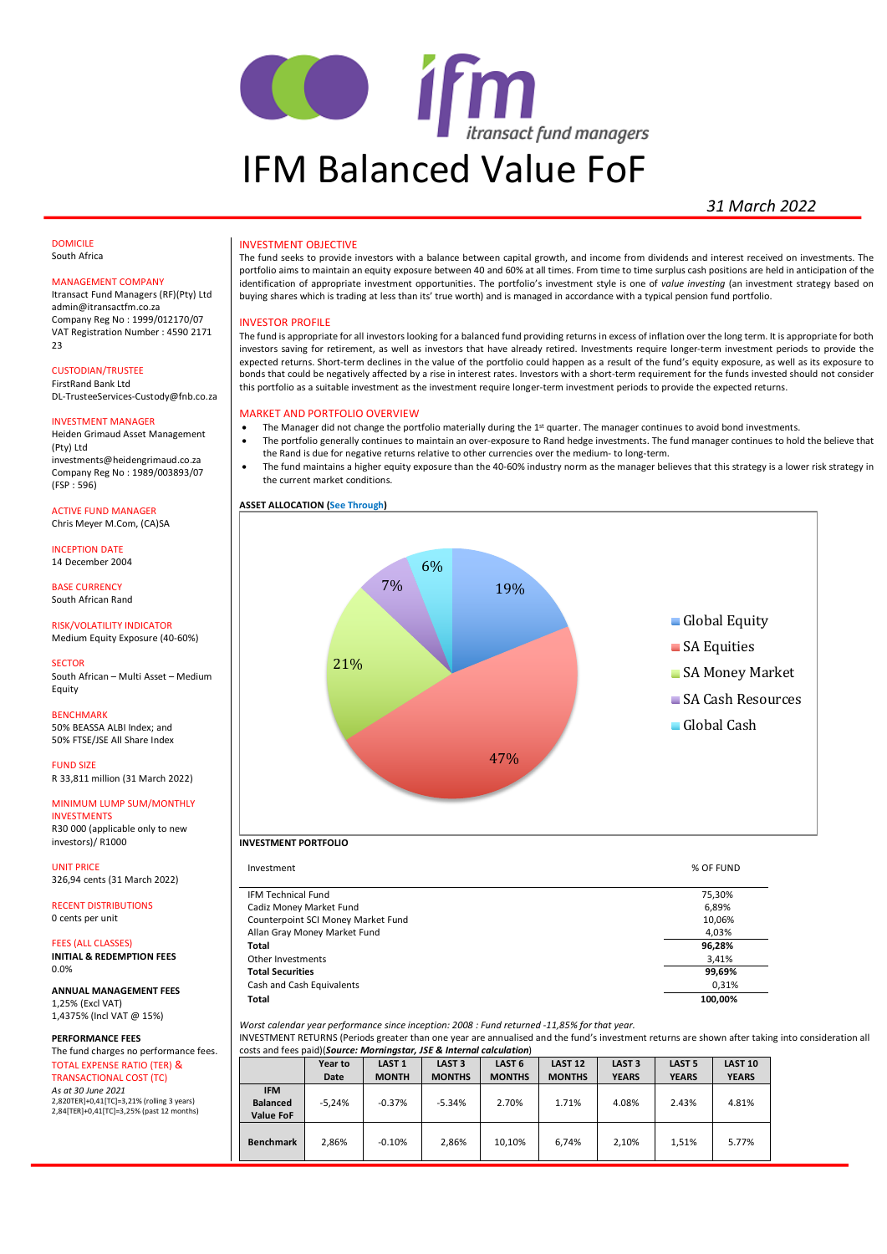

# *31 March 2022*

#### DOMICILE South Africa

#### MANAGEMENT COMPANY

Itransact Fund Managers (RF)(Pty) Ltd admin@itransactfm.co.za Company Reg No : 1999/012170/07 VAT Registration Number : 4590 2171  $23$ 

CUSTODIAN/TRUSTEE

FirstRand Bank Ltd DL-TrusteeServices-Custody@fnb.co.za

#### INVESTMENT MANAGER

Heiden Grimaud Asset Management (Pty) Ltd investments@heidengrimaud.co.za Company Reg No : 1989/003893/07 (FSP : 596)

ACTIVE FUND MANAGER Chris Meyer M.Com, (CA)SA

INCEPTION DATE 14 December 2004

BASE CURRENCY South African Rand

#### RISK/VOLATILITY INDICATOR Medium Equity Exposure (40-60%)

#### **SECTOR**

South African – Multi Asset – Medium Equity

#### BENCHMARK

50% BEASSA ALBI Index; and 50% FTSE/JSE All Share Index

FUND SIZE R 33,811 million (31 March 2022)

MINIMUM LUMP SUM/MONTHLY INVESTMENTS R30 000 (applicable only to new investors)/ R1000

UNIT PRICE 326,94 cents (31 March 2022)

RECENT DISTRIBUTIONS 0 cents per unit

FFES (ALL CLASSES) **INITIAL & REDEMPTION FEES** 0.0%

**ANNUAL MANAGEMENT FEES** 1,25% (Excl VAT) 1,4375% (Incl VAT @ 15%)

**PERFORMANCE FEES**

The fund charges no performance fees. TOTAL EXPENSE RATIO (TER) & TRANSACTIONAL COST (TC) *As at 30 June 2021* 2,820TER]+0,41[TC]=3,21% (rolling 3 years) 2,84[TER]+0,41[TC]=3,25% (past 12 months)

#### INVESTMENT OBJECTIVE

The fund seeks to provide investors with a balance between capital growth, and income from dividends and interest received on investments. The portfolio aims to maintain an equity exposure between 40 and 60% at all times. From time to time surplus cash positions are held in anticipation of the identification of appropriate investment opportunities. The portfolio's investment style is one of *value investing* (an investment strategy based on buying shares which is trading at less than its' true worth) and is managed in accordance with a typical pension fund portfolio.

#### INVESTOR PROFILE

The fund is appropriate for all investors looking for a balanced fund providing returns in excess of inflation over the long term. It is appropriate for both investors saving for retirement, as well as investors that have already retired. Investments require longer-term investment periods to provide the expected returns. Short-term declines in the value of the portfolio could happen as a result of the fund's equity exposure, as well as its exposure to bonds that could be negatively affected by a rise in interest rates. Investors with a short-term requirement for the funds invested should not consider this portfolio as a suitable investment as the investment require longer-term investment periods to provide the expected returns.

### MARKET AND PORTFOLIO OVERVIEW

the current market conditions.

- The Manager did not change the portfolio materially during the 1st quarter. The manager continues to avoid bond investments.
- The portfolio generally continues to maintain an over-exposure to Rand hedge investments. The fund manager continues to hold the believe that
- the Rand is due for negative returns relative to other currencies over the medium- to long-term. • The fund maintains a higher equity exposure than the 40-60% industry norm as the manager believes that this strategy is a lower risk strategy in





#### **INVESTMENT PORTFOLIO**

| Investment                         | % OF FUND |
|------------------------------------|-----------|
|                                    |           |
| <b>IFM Technical Fund</b>          | 75,30%    |
| Cadiz Money Market Fund            | 6,89%     |
| Counterpoint SCI Money Market Fund | 10,06%    |
| Allan Gray Money Market Fund       | 4,03%     |
| Total                              | 96,28%    |
| Other Investments                  | 3,41%     |
| <b>Total Securities</b>            | 99,69%    |
| Cash and Cash Equivalents          | 0,31%     |
| Total                              | 100.00%   |

*Worst calendar year performance since inception: 2008 : Fund returned -11,85% for that year.*

INVESTMENT RETURNS (Periods greater than one year are annualised and the fund's investment returns are shown after taking into consideration all costs and fees paid)(*Source: Morningstar, JSE & Internal calculation*)

|                                                   | Year to  | LAST <sub>1</sub> | LAST <sub>3</sub> | LAST <sub>6</sub> | <b>LAST 12</b> | LAST <sub>3</sub> | <b>LAST 5</b> | <b>LAST 10</b> |
|---------------------------------------------------|----------|-------------------|-------------------|-------------------|----------------|-------------------|---------------|----------------|
|                                                   | Date     | <b>MONTH</b>      | <b>MONTHS</b>     | <b>MONTHS</b>     | <b>MONTHS</b>  | <b>YEARS</b>      | <b>YEARS</b>  | <b>YEARS</b>   |
| <b>IFM</b><br><b>Balanced</b><br><b>Value FoF</b> | $-5.24%$ | $-0.37%$          | $-5.34%$          | 2.70%             | 1.71%          | 4.08%             | 2.43%         | 4.81%          |
| <b>Benchmark</b>                                  | 2.86%    | $-0.10%$          | 2.86%             | 10.10%            | 6.74%          | 2.10%             | 1.51%         | 5.77%          |